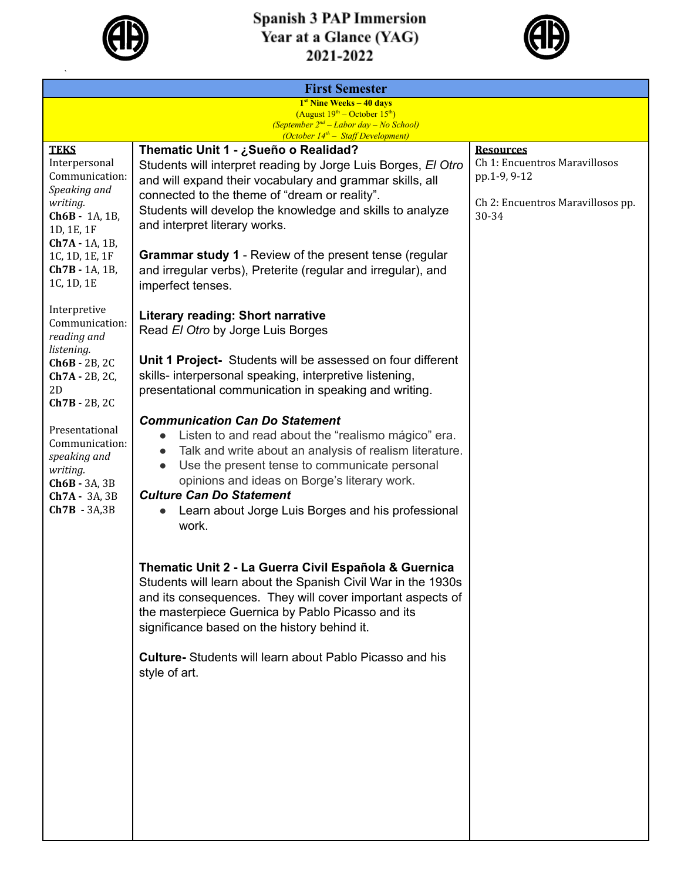

 $\ddot{\phantom{0}}$ 

## **Spanish 3 PAP Immersion<br>Year at a Glance (YAG)<br>2021-2022**



| <b>First Semester</b>                                                                                                                                                                                                                                                                                                                                                   |                                                                                                                                                                                                                   |  |  |  |
|-------------------------------------------------------------------------------------------------------------------------------------------------------------------------------------------------------------------------------------------------------------------------------------------------------------------------------------------------------------------------|-------------------------------------------------------------------------------------------------------------------------------------------------------------------------------------------------------------------|--|--|--|
|                                                                                                                                                                                                                                                                                                                                                                         |                                                                                                                                                                                                                   |  |  |  |
| (September $2^{nd}$ – Labor day – No School)                                                                                                                                                                                                                                                                                                                            |                                                                                                                                                                                                                   |  |  |  |
|                                                                                                                                                                                                                                                                                                                                                                         | <b>Resources</b>                                                                                                                                                                                                  |  |  |  |
| Students will interpret reading by Jorge Luis Borges, El Otro<br>and will expand their vocabulary and grammar skills, all                                                                                                                                                                                                                                               | Ch 1: Encuentros Maravillosos<br>pp.1-9, 9-12                                                                                                                                                                     |  |  |  |
| Students will develop the knowledge and skills to analyze<br>and interpret literary works.                                                                                                                                                                                                                                                                              | Ch 2: Encuentros Maravillosos pp.<br>30-34                                                                                                                                                                        |  |  |  |
| <b>Grammar study 1</b> - Review of the present tense (regular<br>and irregular verbs), Preterite (regular and irregular), and<br>imperfect tenses.                                                                                                                                                                                                                      |                                                                                                                                                                                                                   |  |  |  |
| <b>Literary reading: Short narrative</b><br>Read El Otro by Jorge Luis Borges                                                                                                                                                                                                                                                                                           |                                                                                                                                                                                                                   |  |  |  |
| Unit 1 Project- Students will be assessed on four different<br>skills- interpersonal speaking, interpretive listening,<br>presentational communication in speaking and writing.                                                                                                                                                                                         |                                                                                                                                                                                                                   |  |  |  |
| <b>Communication Can Do Statement</b><br>Listen to and read about the "realismo mágico" era.<br>Talk and write about an analysis of realism literature.<br>Use the present tense to communicate personal<br>$\bullet$<br>opinions and ideas on Borge's literary work.<br><b>Culture Can Do Statement</b><br>Learn about Jorge Luis Borges and his professional<br>work. |                                                                                                                                                                                                                   |  |  |  |
| Thematic Unit 2 - La Guerra Civil Española & Guernica<br>Students will learn about the Spanish Civil War in the 1930s<br>and its consequences. They will cover important aspects of<br>the masterpiece Guernica by Pablo Picasso and its<br>significance based on the history behind it.                                                                                |                                                                                                                                                                                                                   |  |  |  |
| Culture- Students will learn about Pablo Picasso and his<br>style of art.                                                                                                                                                                                                                                                                                               |                                                                                                                                                                                                                   |  |  |  |
|                                                                                                                                                                                                                                                                                                                                                                         |                                                                                                                                                                                                                   |  |  |  |
|                                                                                                                                                                                                                                                                                                                                                                         |                                                                                                                                                                                                                   |  |  |  |
|                                                                                                                                                                                                                                                                                                                                                                         |                                                                                                                                                                                                                   |  |  |  |
|                                                                                                                                                                                                                                                                                                                                                                         | $1st$ Nine Weeks $-40$ days<br>(August $19^{th}$ – October $15^{th}$ )<br>(October 14 <sup>th</sup> - Staff Development)<br>Thematic Unit 1 - ¿Sueño o Realidad?<br>connected to the theme of "dream or reality". |  |  |  |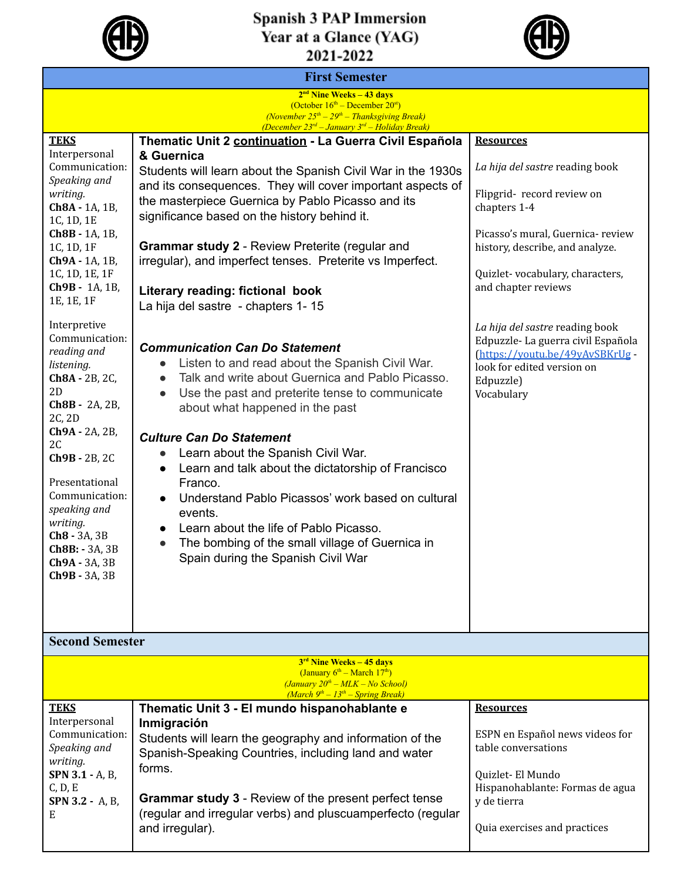

## **Spanish 3 PAP Immersion<br>Year at a Glance (YAG)<br>2021-2022**



| <b>First Semester</b>                                                                                                                                                                               |                                                                                                                                                                                                                                                                                                                                                                                  |                                                                                                                                                                 |  |  |
|-----------------------------------------------------------------------------------------------------------------------------------------------------------------------------------------------------|----------------------------------------------------------------------------------------------------------------------------------------------------------------------------------------------------------------------------------------------------------------------------------------------------------------------------------------------------------------------------------|-----------------------------------------------------------------------------------------------------------------------------------------------------------------|--|--|
| $2nd$ Nine Weeks – 43 days                                                                                                                                                                          |                                                                                                                                                                                                                                                                                                                                                                                  |                                                                                                                                                                 |  |  |
|                                                                                                                                                                                                     | (October $16th$ – December $20st$ )<br>(November $25th - 29th - Thanks giving Break$ )<br>(December $23^{rd}$ - January $3^{rd}$ - Holiday Break)                                                                                                                                                                                                                                |                                                                                                                                                                 |  |  |
| <b>TEKS</b>                                                                                                                                                                                         | Thematic Unit 2 continuation - La Guerra Civil Española                                                                                                                                                                                                                                                                                                                          | <b>Resources</b>                                                                                                                                                |  |  |
| Interpersonal<br>Communication:<br>Speaking and<br>writing.                                                                                                                                         | & Guernica<br>Students will learn about the Spanish Civil War in the 1930s<br>and its consequences. They will cover important aspects of<br>the masterpiece Guernica by Pablo Picasso and its                                                                                                                                                                                    | La hija del sastre reading book<br>Flipgrid-record review on                                                                                                    |  |  |
| Ch8A - 1A, 1B,<br>1C, 1D, 1E<br>Ch8B - 1A, 1B,                                                                                                                                                      | significance based on the history behind it.                                                                                                                                                                                                                                                                                                                                     | chapters 1-4<br>Picasso's mural, Guernica- review                                                                                                               |  |  |
| 1C, 1D, 1F<br>Ch9A - 1A, 1B,<br>1C, 1D, 1E, 1F                                                                                                                                                      | Grammar study 2 - Review Preterite (regular and<br>irregular), and imperfect tenses. Preterite vs Imperfect.                                                                                                                                                                                                                                                                     | history, describe, and analyze.<br>Quizlet-vocabulary, characters,                                                                                              |  |  |
| Ch9B - 1A, 1B,<br>1E, 1E, 1F                                                                                                                                                                        | Literary reading: fictional book<br>La hija del sastre - chapters 1-15                                                                                                                                                                                                                                                                                                           | and chapter reviews                                                                                                                                             |  |  |
| Interpretive<br>Communication:<br>reading and<br>listening.<br>Ch8A - 2B, 2C,<br>2D<br>Ch8B - 2A, 2B,<br>2C, 2D                                                                                     | <b>Communication Can Do Statement</b><br>Listen to and read about the Spanish Civil War.<br>$\bullet$<br>Talk and write about Guernica and Pablo Picasso.<br>$\bullet$<br>Use the past and preterite tense to communicate<br>$\bullet$<br>about what happened in the past                                                                                                        | La hija del sastre reading book<br>Edpuzzle-La guerra civil Española<br>(https://youtu.be/49yAvSBKrUg-<br>look for edited version on<br>Edpuzzle)<br>Vocabulary |  |  |
| Ch9A - 2A, 2B,<br>2 <sub>C</sub><br>Ch9B - 2B, 2C<br>Presentational<br>Communication:<br>speaking and<br>writing.<br>Ch <sub>8</sub> - 3A, 3B<br>Ch8B: - 3A, 3B<br>$Ch9A - 3A, 3B$<br>Ch9B - 3A, 3B | <b>Culture Can Do Statement</b><br>Learn about the Spanish Civil War.<br>$\bullet$<br>Learn and talk about the dictatorship of Francisco<br>Franco.<br>Understand Pablo Picassos' work based on cultural<br>$\bullet$<br>events.<br>Learn about the life of Pablo Picasso.<br>The bombing of the small village of Guernica in<br>$\bullet$<br>Spain during the Spanish Civil War |                                                                                                                                                                 |  |  |
| <b>Second Semester</b>                                                                                                                                                                              |                                                                                                                                                                                                                                                                                                                                                                                  |                                                                                                                                                                 |  |  |
|                                                                                                                                                                                                     | $3rd$ Nine Weeks – 45 days                                                                                                                                                                                                                                                                                                                                                       |                                                                                                                                                                 |  |  |
| (January $6^{th}$ – March 17 <sup>th</sup> )<br>$(January 20th - MLK - No School)$<br>$(March 9th - 13th - Spring Break)$                                                                           |                                                                                                                                                                                                                                                                                                                                                                                  |                                                                                                                                                                 |  |  |
| <b>TEKS</b>                                                                                                                                                                                         | Thematic Unit 3 - El mundo hispanohablante e                                                                                                                                                                                                                                                                                                                                     | <b>Resources</b>                                                                                                                                                |  |  |
| Interpersonal<br>Communication:<br>Speaking and<br>writing.                                                                                                                                         | Inmigración<br>Students will learn the geography and information of the<br>Spanish-Speaking Countries, including land and water<br>forms.                                                                                                                                                                                                                                        | ESPN en Español news videos for<br>table conversations                                                                                                          |  |  |
| SPN 3.1 - A, B,<br>C, D, E<br><b>SPN 3.2 - A, B,</b><br>Е                                                                                                                                           | <b>Grammar study 3</b> - Review of the present perfect tense<br>(regular and irregular verbs) and pluscuamperfecto (regular                                                                                                                                                                                                                                                      | Quizlet-El Mundo<br>Hispanohablante: Formas de agua<br>y de tierra                                                                                              |  |  |
|                                                                                                                                                                                                     | and irregular).                                                                                                                                                                                                                                                                                                                                                                  | Quia exercises and practices                                                                                                                                    |  |  |